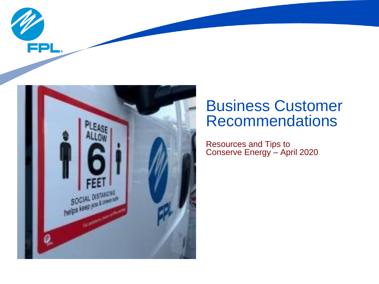



# Business Customer Recommendations

Resources and Tips to Conserve Energy – April 2020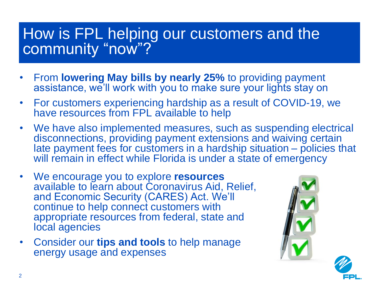## How is FPL helping our customers and the community "now"?

- From **lowering May bills by nearly 25%** to providing payment assistance, we'll work with you to make sure your lights stay on
- For customers experiencing hardship as a result of COVID-19, we have resources from FPL available to help
- We have also implemented measures, such as suspending electrical disconnections, providing payment extensions and waiving certain late payment fees for customers in a hardship situation – policies that will remain in effect while Florida is under a state of emergency
- We encourage you to explore **resources** available to learn about Coronavirus Aid, Relief, and Economic Security (CARES) Act. We'll continue to help connect customers with appropriate resources from federal, state and local agencies
- Consider our **tips and tools** to help manage energy usage and expenses

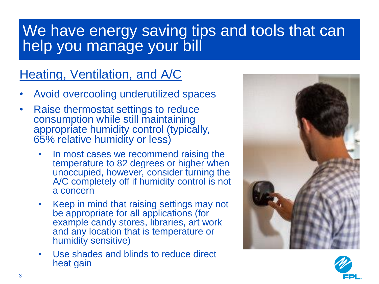# We have energy saving tips and tools that can help you manage your bill

### Heating, Ventilation, and A/C

- Avoid overcooling underutilized spaces
- Raise thermostat settings to reduce consumption while still maintaining appropriate humidity control (typically, 65% relative humidity or less)
	- In most cases we recommend raising the temperature to 82 degrees or higher when unoccupied, however, consider turning the A/C completely off if humidity control is not a concern
	- Keep in mind that raising settings may not be appropriate for all applications (for example candy stores, libraries, art work and any location that is temperature or humidity sensitive)
	- Use shades and blinds to reduce direct heat gain



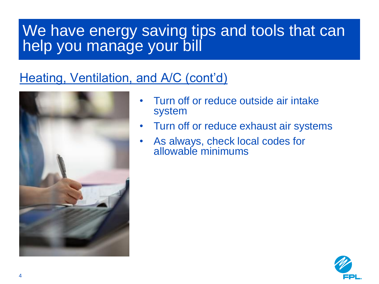# We have energy saving tips and tools that can help you manage your bill

### Heating, Ventilation, and A/C (cont'd)



- Turn off or reduce outside air intake system
- Turn off or reduce exhaust air systems
- As always, check local codes for allowable minimums

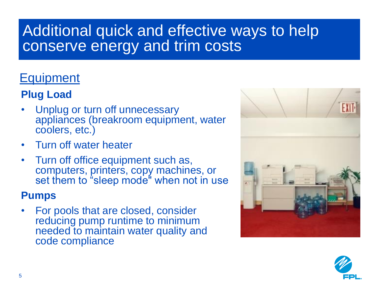# Additional quick and effective ways to help conserve energy and trim costs

### **Equipment**

### **Plug Load**

- Unplug or turn off unnecessary appliances (breakroom equipment, water coolers, etc.)
- Turn off water heater
- Turn off office equipment such as, computers, printers, copy machines, or set them to "sleep mode" when not in use

#### **Pumps**

• For pools that are closed, consider reducing pump runtime to minimum needed to maintain water quality and code compliance



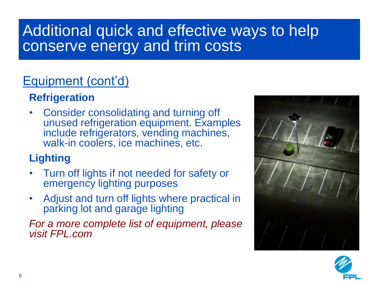# Additional quick and effective ways to help conserve energy and trim costs

### Equipment (cont'd)

### **Refrigeration**

• Consider consolidating and turning off unused refrigeration equipment. Examples include refrigerators, vending machines, walk-in coolers, ice machines, etc.

### **Lighting**

- Turn off lights if not needed for safety or emergency lighting purposes
- Adjust and turn off lights where practical in parking lot and garage lighting

*For a more complete list of equipment, please visit FPL.com*



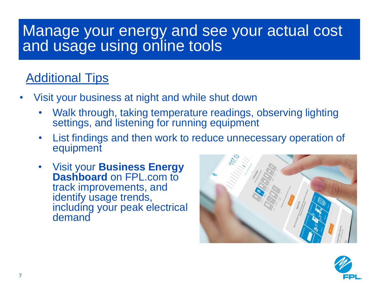## Manage your energy and see your actual cost and usage using online tools

### Additional Tips

- Visit your business at night and while shut down
	- Walk through, taking temperature readings, observing lighting settings, and listening for running equipment
	- List findings and then work to reduce unnecessary operation of equipment
	- Visit your **Business Energy Dashboard** on FPL.com to track improvements, and identify usage trends, including your peak electrical demand



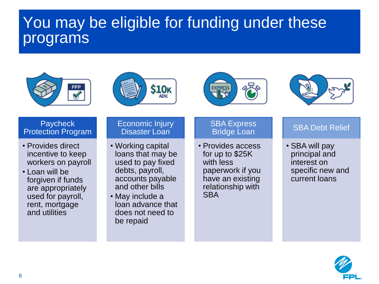# You may be eligible for funding under these programs









#### **Paycheck** Protection Program

- Provides direct incentive to keep workers on payroll
- Loan will be forgiven if funds are appropriately used for payroll, rent, mortgage and utilities

#### Economic Injury Disaster Loan

- Working capital loans that may be used to pay fixed debts, payroll, accounts payable and other bills
- May include a loan advance that does not need to be repaid

#### **SBA Express** Bridge Loan

• Provides access for up to \$25K with less paperwork if you have an existing relationship with **SBA** 

#### SBA Debt Relief

• SBA will pay principal and interest on specific new and current loans